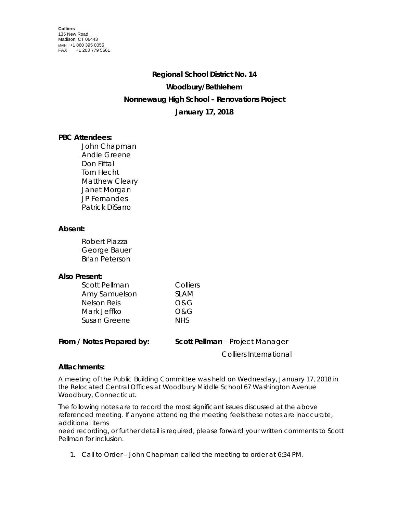# **Regional School District No. 14 Woodbury/Bethlehem Nonnewaug High School – Renovations Project January 17, 2018**

## **PBC Attendees:**

John Chapman Andie Greene Don Fiftal Tom Hecht Matthew Cleary Janet Morgan JP Fernandes Patrick DiSarro

## **Absent:**

Robert Piazza George Bauer Brian Peterson

### **Also Present:**

| Scott Pellman      | Colliers    |
|--------------------|-------------|
| Amy Samuelson      | <b>SLAM</b> |
| <b>Nelson Reis</b> | O&G         |
| Mark Jeffko        | O&G         |
| Susan Greene       | <b>NHS</b>  |

**From / Notes Prepared by: Scott Pellman** – Project Manager

Colliers International

### **Attachments:**

A meeting of the Public Building Committee was held on Wednesday, January 17, 2018 in the Relocated Central Offices at Woodbury Middle School 67 Washington Avenue Woodbury, Connecticut.

The following notes are to record the most significant issues discussed at the above referenced meeting. If anyone attending the meeting feels these notes are inaccurate, additional items

need recording, or further detail is required, please forward your written comments to Scott Pellman for inclusion.

1. Call to Order – John Chapman called the meeting to order at 6:34 PM.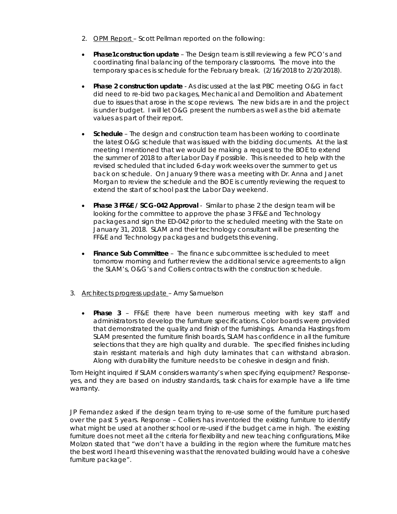- 2. OPM Report Scott Pellman reported on the following:
- **Phase1construction update** The Design team is still reviewing a few PCO's and coordinating final balancing of the temporary classrooms. The move into the temporary spaces is schedule for the February break. (2/16/2018 to 2/20/2018).
- **Phase 2 construction update** As discussed at the last PBC meeting O&G in fact did need to re-bid two packages, Mechanical and Demolition and Abatement due to issues that arose in the scope reviews. The new bids are in and the project is under budget. I will let O&G present the numbers as well as the bid alternate values as part of their report.
- **Schedule** The design and construction team has been working to coordinate the latest O&G schedule that was issued with the bidding documents. At the last meeting I mentioned that we would be making a request to the BOE to extend the summer of 2018 to after Labor Day if possible. This is needed to help with the revised scheduled that included 6-day work weeks over the summer to get us back on schedule. On January 9 there was a meeting with Dr. Anna and Janet Morgan to review the schedule and the BOE is currently reviewing the request to extend the start of school past the Labor Day weekend.
- **Phase 3 FF&E / SCG-042 Approval** Similar to phase 2 the design team will be looking for the committee to approve the phase 3 FF&E and Technology packages and sign the ED-042 prior to the scheduled meeting with the State on January 31, 2018. SLAM and their technology consultant will be presenting the FF&E and Technology packages and budgets this evening.
- **Finance Sub Committee**  The finance subcommittee is scheduled to meet tomorrow morning and further review the additional service agreements to align the SLAM's, O&G's and Colliers contracts with the construction schedule.
- 3. Architects progress update Amy Samuelson
	- **Phase 3**  FF&E there have been numerous meeting with key staff and administrators to develop the furniture specifications. Color boards were provided that demonstrated the quality and finish of the furnishings. Amanda Hastings from SLAM presented the furniture finish boards, SLAM has confidence in all the furniture selections that they are high quality and durable. The specified finishes including stain resistant materials and high duty laminates that can withstand abrasion. Along with durability the furniture needs to be cohesive in design and finish.

Tom Height inquired if SLAM considers warranty's when specifying equipment? Responseyes, and they are based on industry standards, task chairs for example have a life time warranty.

JP Fernandez asked if the design team trying to re-use some of the furniture purchased over the past 5 years. Response – Colliers has inventoried the existing furniture to identify what might be used at another school or re-used if the budget came in high. The existing furniture does not meet all the criteria for flexibility and new teaching configurations, Mike Molzon stated that "we don't have a building in the region where the furniture matches the best word I heard this evening was that the renovated building would have a cohesive furniture package".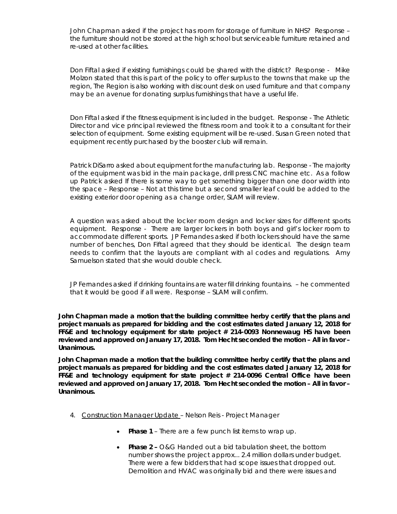John Chapman asked if the project has room for storage of furniture in NHS? Response – the furniture should not be stored at the high school but serviceable furniture retained and re-used at other facilities.

Don Fiftal asked if existing furnishings could be shared with the district? Response - Mike Molzon stated that this is part of the policy to offer surplus to the towns that make up the region, The Region is also working with discount desk on used furniture and that company may be an avenue for donating surplus furnishings that have a useful life.

Don Fiftal asked if the fitness equipment is included in the budget. Response - The Athletic Director and vice principal reviewed the fitness room and took it to a consultant for their selection of equipment. Some existing equipment will be re-used. Susan Green noted that equipment recently purchased by the booster club will remain.

Patrick DiSarro asked about equipment for the manufacturing lab. Response - The majority of the equipment was bid in the main package, drill press CNC machine etc. As a follow up Patrick asked If there is some way to get something bigger than one door width into the space – Response – Not at this time but a second smaller leaf could be added to the existing exterior door opening as a change order, SLAM will review.

A question was asked about the locker room design and locker sizes for different sports equipment. Response - There are larger lockers in both boys and girl's locker room to accommodate different sports. JP Fernandes asked if both lockers should have the same number of benches, Don Fiftal agreed that they should be identical. The design team needs to confirm that the layouts are compliant with al codes and regulations. Amy Samuelson stated that she would double check.

JP Fernandes asked if drinking fountains are water fill drinking fountains. – he commented that it would be good if all were. Response – SLAM will confirm.

**John Chapman made a motion that the building committee herby certify that the plans and project manuals as prepared for bidding and the cost estimates dated January 12, 2018 for FF&E and technology equipment for state project # 214-0093 Nonnewaug HS have been reviewed and approved on January 17, 2018. Tom Hecht seconded the motion – All in favor – Unanimous.** 

**John Chapman made a motion that the building committee herby certify that the plans and project manuals as prepared for bidding and the cost estimates dated January 12, 2018 for FF&E and technology equipment for state project # 214-0096 Central Office have been reviewed and approved on January 17, 2018. Tom Hecht seconded the motion – All in favor – Unanimous.** 

- 4. Construction Manager Update Nelson Reis Project Manager
	- **Phase 1** There are a few punch list items to wrap up.
	- **Phase 2 –** O&G Handed out a bid tabulation sheet, the bottom number shows the project approx... 2.4 million dollars under budget. There were a few bidders that had scope issues that dropped out. Demolition and HVAC was originally bid and there were issues and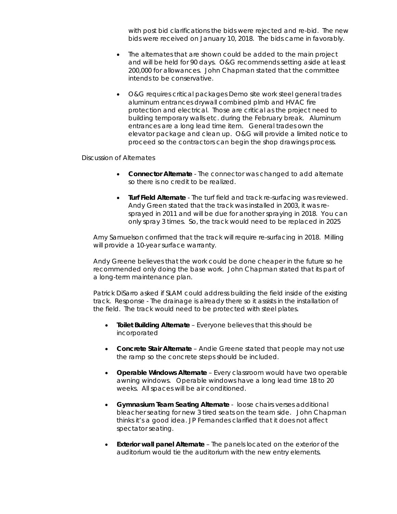with post bid clarifications the bids were rejected and re-bid. The new bids were received on January 10, 2018. The bids came in favorably.

- The alternates that are shown could be added to the main project and will be held for 90 days. O&G recommends setting aside at least 200,000 for allowances. John Chapman stated that the committee intends to be conservative.
- O&G requires critical packages Demo site work steel general trades aluminum entrances drywall combined plmb and HVAC fire protection and electrical. Those are critical as the project need to building temporary walls etc. during the February break. Aluminum entrances are a long lead time item. General trades own the elevator package and clean up. O&G will provide a limited notice to proceed so the contractors can begin the shop drawings process.

Discussion of Alternates

- **Connector Alternate** The connector was changed to add alternate so there is no credit to be realized.
- **Turf Field Alternate** The turf field and track re-surfacing was reviewed. Andy Green stated that the track was installed in 2003, it was resprayed in 2011 and will be due for another spraying in 2018. You can only spray 3 times. So, the track would need to be replaced in 2025

Amy Samuelson confirmed that the track will require re-surfacing in 2018. Milling will provide a 10-year surface warranty.

Andy Greene believes that the work could be done cheaper in the future so he recommended only doing the base work. John Chapman stated that its part of a long-term maintenance plan.

Patrick DiSarro asked if SLAM could address building the field inside of the existing track. Response - The drainage is already there so it assists in the installation of the field. The track would need to be protected with steel plates.

- **Toilet Building Alternate** Everyone believes that this should be incorporated
- **Concrete Stair Alternate** Andie Greene stated that people may not use the ramp so the concrete steps should be included.
- **Operable Windows Alternate** Every classroom would have two operable awning windows. Operable windows have a long lead time 18 to 20 weeks. All spaces will be air conditioned.
- **Gymnasium Team Seating Alternate** loose chairs verses additional bleacher seating for new 3 tired seats on the team side. John Chapman thinks it's a good idea. JP Fernandes clarified that it does not affect spectator seating.
- **Exterior wall panel Alternate** The panels located on the exterior of the auditorium would tie the auditorium with the new entry elements.